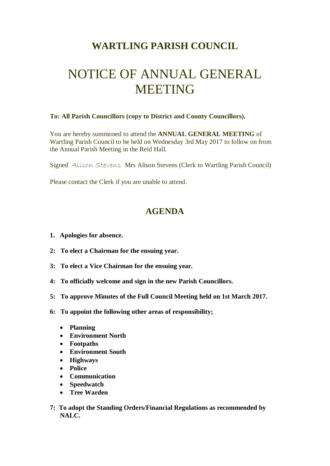## **WARTLING PARISH COUNCIL**

## NOTICE OF ANNUAL GENERAL **MEETING**

## **To: All Parish Councillors (copy to District and County Councillors).**

You are hereby summoned to attend the **ANNUAL GENERAL MEETING** of Wartling Parish Council to be held on Wednesday 3rd May 2017 to follow on from the Annual Parish Meeting in the Reid Hall.

Signed Alison Stevens Mrs Alison Stevens (Clerk to Wartling Parish Council)

Please contact the Clerk if you are unable to attend.

## **AGENDA**

- **1. Apologies for absence.**
- **2: To elect a Chairman for the ensuing year.**
- **3: To elect a Vice Chairman for the ensuing year.**
- **4: To officially welcome and sign in the new Parish Councillors.**
- **5: To approve Minutes of the Full Council Meeting held on 1st March 2017.**
- **6: To appoint the following other areas of responsibility;**
	- **Planning**
	- **Environment North**
	- **Footpaths**
	- **Environment South**
	- **Highways**
	- **Police**
	- **Communication**
	- **Speedwatch**
	- **Tree Warden**
- **7: To adopt the Standing Orders/Financial Regulations as recommended by NALC.**